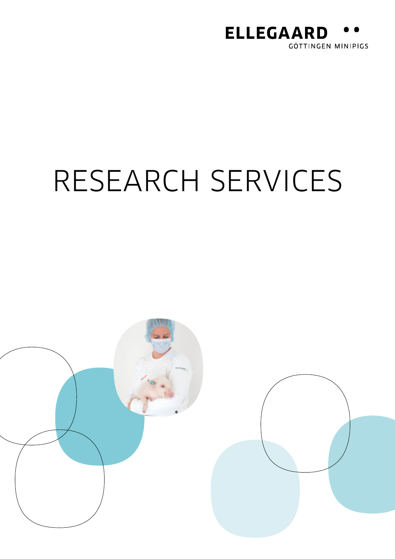

# RESEARCH SERVICES

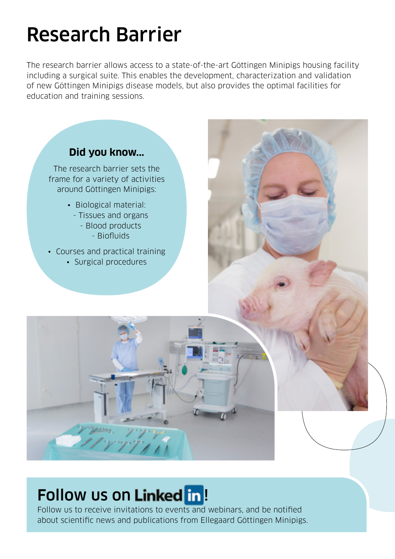### Research Barrier

The research barrier allows access to a state-of-the-art Göttingen Minipigs housing facility including a surgical suite. This enables the development, characterization and validation of new Göttingen Minipigs disease models, but also provides the optimal facilities for education and training sessions.



### Follow us on Linked in!

Follow us to receive invitations to events and webinars, and be notified about scientific news and publications from Ellegaard Göttingen Minipigs.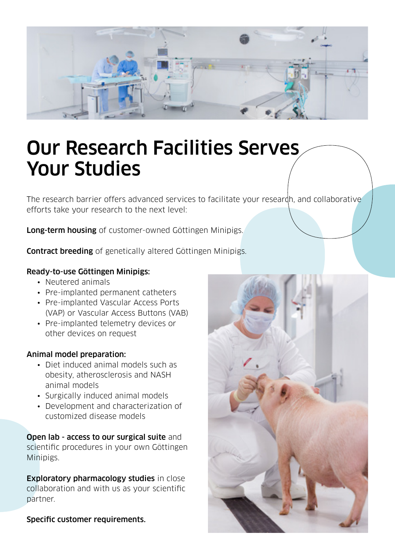

### Our Research Facilities Serves Your Studies

The research barrier offers advanced services to facilitate your researdh, and collaborative efforts take your research to the next level:

Long-term housing of customer-owned Göttingen Minipigs.

Contract breeding of genetically altered Göttingen Minipigs.

#### Ready-to-use Göttingen Minipigs:

- Neutered animals
- Pre-implanted permanent catheters
- Pre-implanted Vascular Access Ports (VAP) or Vascular Access Buttons (VAB)
- Pre-implanted telemetry devices or other devices on request

#### Animal model preparation:

- Diet induced animal models such as obesity, atherosclerosis and NASH animal models
- Surgically induced animal models
- Development and characterization of customized disease models

Open lab - access to our surgical suite and scientific procedures in your own Göttingen Minipigs.

Exploratory pharmacology studies in close collaboration and with us as your scientific partner.

Specific customer requirements.